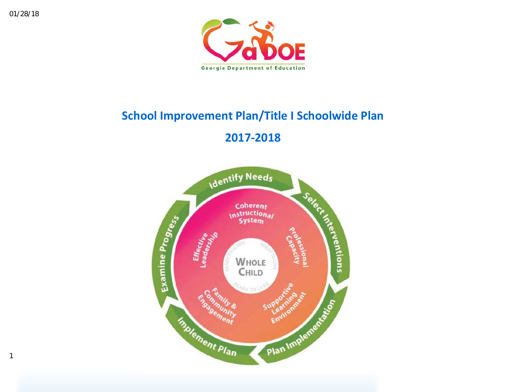

# **School Improvement Plan/Title I Schoolwide Plan**

# **2017-2018**

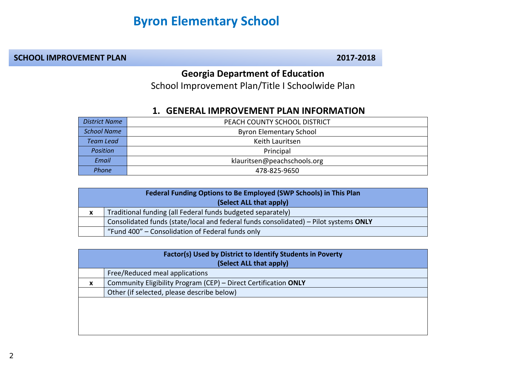# **Byron Elementary School**

#### **SCHOOL IMPROVEMENT PLAN** 2017-2018

### **Georgia Department of Education**

School Improvement Plan/Title I Schoolwide Plan

#### **1. GENERAL IMPROVEMENT PLAN INFORMATION**

| District Name      | PEACH COUNTY SCHOOL DISTRICT   |
|--------------------|--------------------------------|
| <b>School Name</b> | <b>Byron Elementary School</b> |
| <b>Team Lead</b>   | Keith Lauritsen                |
| Position           | Principal                      |
| Email              | klauritsen@peachschools.org    |
| <b>Phone</b>       | 478-825-9650                   |

|                         | Federal Funding Options to Be Employed (SWP Schools) in This Plan                    |  |  |  |  |  |
|-------------------------|--------------------------------------------------------------------------------------|--|--|--|--|--|
| (Select ALL that apply) |                                                                                      |  |  |  |  |  |
| X                       | Traditional funding (all Federal funds budgeted separately)                          |  |  |  |  |  |
|                         | Consolidated funds (state/local and federal funds consolidated) – Pilot systems ONLY |  |  |  |  |  |
|                         | "Fund 400" – Consolidation of Federal funds only                                     |  |  |  |  |  |

|   | Factor(s) Used by District to Identify Students in Poverty      |  |  |  |  |  |  |  |
|---|-----------------------------------------------------------------|--|--|--|--|--|--|--|
|   | (Select ALL that apply)                                         |  |  |  |  |  |  |  |
|   | Free/Reduced meal applications                                  |  |  |  |  |  |  |  |
| X | Community Eligibility Program (CEP) - Direct Certification ONLY |  |  |  |  |  |  |  |
|   | Other (if selected, please describe below)                      |  |  |  |  |  |  |  |
|   |                                                                 |  |  |  |  |  |  |  |
|   |                                                                 |  |  |  |  |  |  |  |
|   |                                                                 |  |  |  |  |  |  |  |
|   |                                                                 |  |  |  |  |  |  |  |

2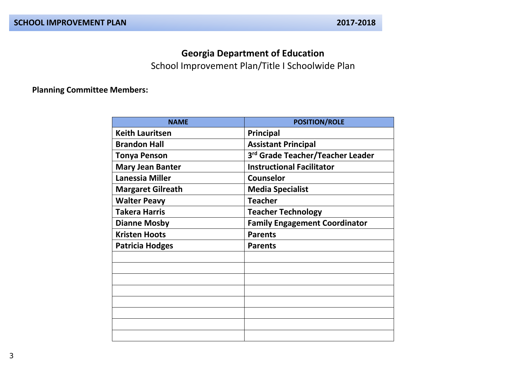### **Georgia Department of Education**

School Improvement Plan/Title I Schoolwide Plan

#### **Planning Committee Members:**

| <b>NAME</b>              | <b>POSITION/ROLE</b>                 |
|--------------------------|--------------------------------------|
| <b>Keith Lauritsen</b>   | Principal                            |
| <b>Brandon Hall</b>      | <b>Assistant Principal</b>           |
| <b>Tonya Penson</b>      | 3rd Grade Teacher/Teacher Leader     |
| <b>Mary Jean Banter</b>  | <b>Instructional Facilitator</b>     |
| <b>Lanessia Miller</b>   | Counselor                            |
| <b>Margaret Gilreath</b> | <b>Media Specialist</b>              |
| <b>Walter Peavy</b>      | <b>Teacher</b>                       |
| <b>Takera Harris</b>     | <b>Teacher Technology</b>            |
| <b>Dianne Mosby</b>      | <b>Family Engagement Coordinator</b> |
| <b>Kristen Hoots</b>     | <b>Parents</b>                       |
| <b>Patricia Hodges</b>   | <b>Parents</b>                       |
|                          |                                      |
|                          |                                      |
|                          |                                      |
|                          |                                      |
|                          |                                      |
|                          |                                      |
|                          |                                      |
|                          |                                      |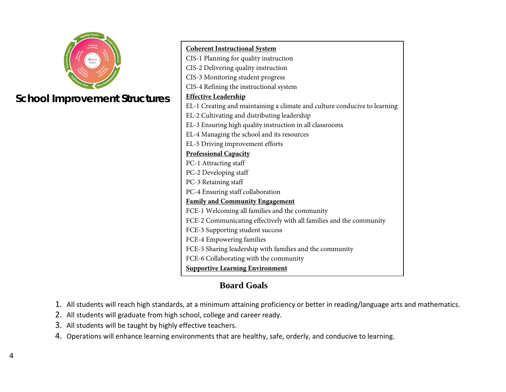

## **School Improvement Structure**

| <b>Coherent Instructional System</b>                                      |
|---------------------------------------------------------------------------|
| CIS-1 Planning for quality instruction                                    |
| CIS-2 Delivering quality instruction                                      |
| CIS-3 Monitoring student progress                                         |
| CIS-4 Refining the instructional system                                   |
| <b>Effective Leadership</b>                                               |
| EL-1 Creating and maintaining a climate and culture conducive to learning |
| EL-2 Cultivating and distributing leadership                              |
| EL-3 Ensuring high quality instruction in all classrooms                  |
| EL-4 Managing the school and its resources                                |
| EL-5 Driving improvement efforts                                          |
| <b>Professional Capacity</b>                                              |
| PC-1 Attracting staff                                                     |
| PC-2 Developing staff                                                     |
| PC-3 Retaining staff                                                      |
| PC-4 Ensuring staff collaboration                                         |
| <b>Family and Community Engagement</b>                                    |
| FCE-1 Welcoming all families and the community                            |
| FCE-2 Communicating effectively with all families and the community       |
| FCE-3 Supporting student success                                          |
| FCE-4 Empowering families                                                 |
| FCE-5 Sharing leadership with families and the community                  |
| FCE-6 Collaborating with the community                                    |
| <b>Supportive Learning Environment</b>                                    |

### **Board Goals**

- 1. All students will reach high standards, at a minimum attaining proficiency or better in reading/language arts and mathematics.
- 2. All students will graduate from high school, college and career ready.
- 3. All students will be taught by highly effective teachers.
- 4. Operations will enhance learning environments that are healthy, safe, orderly, and conducive to learning.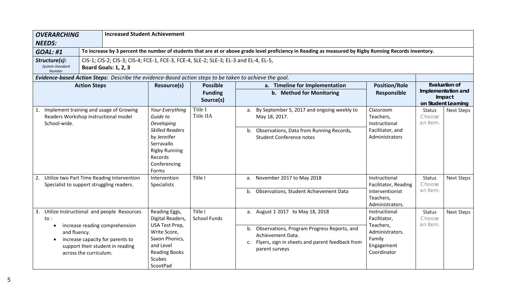| <b>OVERARCHING</b><br><b>NEEDS:</b>               |                                                                                                                                                                                   | <b>Increased Student Achievement</b>                                                                                                             |                                |                                                                                                                                                                                                    |                                                                                                      |                                                     |                      |  |  |  |
|---------------------------------------------------|-----------------------------------------------------------------------------------------------------------------------------------------------------------------------------------|--------------------------------------------------------------------------------------------------------------------------------------------------|--------------------------------|----------------------------------------------------------------------------------------------------------------------------------------------------------------------------------------------------|------------------------------------------------------------------------------------------------------|-----------------------------------------------------|----------------------|--|--|--|
| <b>GOAL: #1</b>                                   |                                                                                                                                                                                   |                                                                                                                                                  |                                | To increase by 3 percent the number of students that are at or above grade level proficiency in Reading as measured by Rigby Running Records Inventory.                                            |                                                                                                      |                                                     |                      |  |  |  |
| Structure(s):<br>System-Standard<br><b>Number</b> | CIS-1; CIS-2; CIS-3; CIS-4; FCE-1, FCE-3, FCE-4, SLE-2; SLE-3; EL-3 and EL-4, EL-5,<br><b>Board Goals: 1, 2, 3</b>                                                                |                                                                                                                                                  |                                |                                                                                                                                                                                                    |                                                                                                      |                                                     |                      |  |  |  |
|                                                   | Evidence-based Action Steps: Describe the evidence-Based action steps to be taken to achieve the goal.                                                                            |                                                                                                                                                  |                                |                                                                                                                                                                                                    |                                                                                                      |                                                     |                      |  |  |  |
|                                                   | <b>Action Steps</b>                                                                                                                                                               | <b>Resource(s)</b>                                                                                                                               | <b>Possible</b>                | a. Timeline for Implementation                                                                                                                                                                     | <b>Position/Role</b>                                                                                 |                                                     | <b>Evaluation of</b> |  |  |  |
|                                                   |                                                                                                                                                                                   |                                                                                                                                                  | <b>Funding</b><br>Source(s)    | b. Method for Monitoring                                                                                                                                                                           | Responsible                                                                                          | Implementation and<br>Impact<br>on Student Learning |                      |  |  |  |
| 1.<br>School-wide.                                | Implement training and usage of Growing<br>Readers Workshop instructional model                                                                                                   | Your Everything<br>Guide to<br>Developing                                                                                                        | Title I<br>Title IIA           | By September 5, 2017 and ongoing weekly to<br>a.<br>May 18, 2017.                                                                                                                                  | Classroom<br>Teachers,<br>Instructional                                                              | <b>Status</b><br>Choose<br>an item.                 | <b>Next Steps</b>    |  |  |  |
|                                                   |                                                                                                                                                                                   | <b>Skilled Readers</b><br>by Jennifer<br>Serravallo<br><b>Rigby Running</b><br>Records<br>Conferencing<br>Forms                                  |                                | Observations, Data from Running Records,<br>b.<br><b>Student Conference notes</b>                                                                                                                  | Facilitator, and<br>Administrators                                                                   |                                                     |                      |  |  |  |
|                                                   | 2. Utilize two Part Time Reading Intervention<br>Specialist to support struggling readers.                                                                                        | Intervention<br>Specialists                                                                                                                      | Title I                        | November 2017 to May 2018<br>а.                                                                                                                                                                    | Instructional<br>Facilitator, Reading                                                                | <b>Status</b><br>Choose                             | Next Steps           |  |  |  |
|                                                   |                                                                                                                                                                                   |                                                                                                                                                  |                                | b. Observations, Student Achievement Data                                                                                                                                                          | Interventionist<br>Teachers,<br>Administrators.                                                      | an item.                                            |                      |  |  |  |
| to:<br>and fluency.                               | 3. Utilize Instructional and people Resources<br>increase reading comprehension<br>increase capacity for parents to<br>support their student in reading<br>across the curriculum. | Reading Eggs,<br>Digital Readers,<br>USA Test Prep,<br>Write Score,<br>Saxon Phonics,<br>and Level<br><b>Reading Books</b><br>Scubes<br>ScootPad | Title I<br><b>School Funds</b> | a. August 1 <sup>'</sup> 2017 to May 18, 2018<br>Observations, Program Progress Reports, and<br>b.<br>Achievement Data.<br>Flyers, sign in sheets and parent feedback from<br>c.<br>parent surveys | Instructional<br>Facilitator,<br>Teachers,<br>Administrators.<br>Family<br>Engagement<br>Coordinator | <b>Status</b><br>Choose<br>an item.                 | <b>Next Steps</b>    |  |  |  |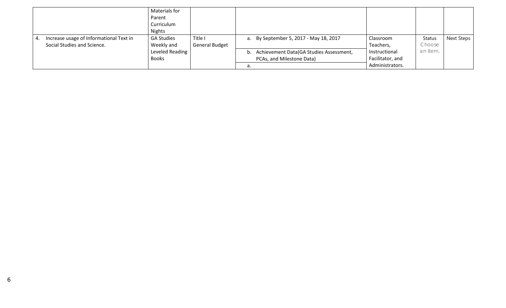|    |                                         | Materials for     |                       |    |                                            |                  |               |            |
|----|-----------------------------------------|-------------------|-----------------------|----|--------------------------------------------|------------------|---------------|------------|
|    |                                         | Parent            |                       |    |                                            |                  |               |            |
|    |                                         | Curriculum        |                       |    |                                            |                  |               |            |
|    |                                         | <b>Nights</b>     |                       |    |                                            |                  |               |            |
| 4. | Increase usage of Informational Text in | <b>GA Studies</b> | Title I               |    | a. By September 5, 2017 - May 18, 2017     | Classroom        | <b>Status</b> | Next Steps |
|    | Social Studies and Science.             | Weekly and        | <b>General Budget</b> |    |                                            | Teachers,        | Choose        |            |
|    |                                         | Leveled Reading   |                       |    | b. Achievement Data(GA Studies Assessment, | Instructional    | an item.      |            |
|    |                                         | <b>Books</b>      |                       |    | PCAs, and Milestone Data)                  | Facilitator, and |               |            |
|    |                                         |                   |                       | d. |                                            | Administrators.  |               |            |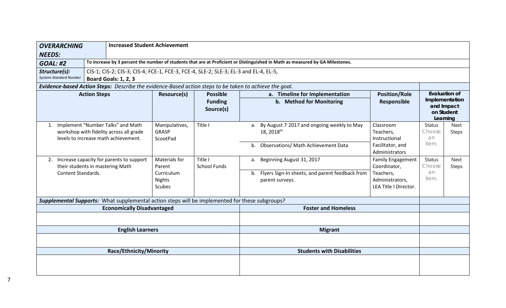| <b>OVERARCHING</b><br><b>NEEDS:</b>                                                                                                                    |  | <b>Increased Student Achievement</b>                                                                                    |                                            |                                                                                                        |                                                            |                                                                                                                               |                                                       |                                                                         |               |  |
|--------------------------------------------------------------------------------------------------------------------------------------------------------|--|-------------------------------------------------------------------------------------------------------------------------|--------------------------------------------|--------------------------------------------------------------------------------------------------------|------------------------------------------------------------|-------------------------------------------------------------------------------------------------------------------------------|-------------------------------------------------------|-------------------------------------------------------------------------|---------------|--|
| <b>GOAL: #2</b>                                                                                                                                        |  |                                                                                                                         |                                            |                                                                                                        |                                                            | To increase by 3 percent the number of students that are at Proficient or Distinguished in Math as measured by GA Milestones. |                                                       |                                                                         |               |  |
| CIS-1; CIS-2; CIS-3; CIS-4; FCE-1, FCE-3, FCE-4, SLE-2; SLE-3; EL-3 and EL-4, EL-5,<br>Structure(s):<br>System-Standard Number<br>Board Goals: 1, 2, 3 |  |                                                                                                                         |                                            |                                                                                                        |                                                            |                                                                                                                               |                                                       |                                                                         |               |  |
|                                                                                                                                                        |  |                                                                                                                         |                                            | Evidence-based Action Steps: Describe the evidence-Based action steps to be taken to achieve the goal. |                                                            |                                                                                                                               |                                                       |                                                                         |               |  |
| <b>Action Steps</b>                                                                                                                                    |  |                                                                                                                         | Resource(s)                                | <b>Possible</b><br><b>Funding</b><br>Source(s)                                                         | a. Timeline for Implementation<br>b. Method for Monitoring |                                                                                                                               | <b>Position/Role</b><br>Responsible                   | Evaluation of<br>Implementation<br>and Impact<br>on Student<br>Learning |               |  |
|                                                                                                                                                        |  | 1. Implement "Number Talks" and Math<br>workshop with fidelity across all grade<br>levels to increase math achievement. | Manipulatives,<br><b>GRASP</b><br>ScootPad | Title I                                                                                                |                                                            | a. By August 7 <sup>,</sup> 2017 and ongoing weekly to May<br>18, 2018 <sup>th</sup>                                          | Classroom<br>Teachers,<br>Instructional               | <b>Status</b><br>Choose<br>an                                           | Next<br>Steps |  |
|                                                                                                                                                        |  |                                                                                                                         |                                            |                                                                                                        |                                                            | b. Observations/ Math Achievement Data                                                                                        | Facilitator, and<br>Administrators                    | item.                                                                   |               |  |
| their students in mastering Math                                                                                                                       |  | 2. Increase capacity for parents to support                                                                             | Materials for<br>Parent                    | Title I<br><b>School Funds</b>                                                                         | a.                                                         | Beginning August 31, 2017                                                                                                     | <b>Family Engagement</b><br>Coordinator,              | <b>Status</b><br>Choose                                                 | Next<br>Steps |  |
| <b>Content Standards.</b>                                                                                                                              |  |                                                                                                                         | Curriculum<br><b>Nights</b><br>Scubes      |                                                                                                        | b.                                                         | Flyers Sign-In sheets, and parent feedback from<br>parent surveys.                                                            | Teachers,<br>Administrators,<br>LEA Title I Director. | an<br>item.                                                             |               |  |
|                                                                                                                                                        |  |                                                                                                                         |                                            | Supplemental Supports: What supplemental action steps will be implemented for these subgroups?         |                                                            |                                                                                                                               |                                                       |                                                                         |               |  |
|                                                                                                                                                        |  | <b>Economically Disadvantaged</b>                                                                                       |                                            |                                                                                                        |                                                            | <b>Foster and Homeless</b>                                                                                                    |                                                       |                                                                         |               |  |
|                                                                                                                                                        |  |                                                                                                                         |                                            |                                                                                                        |                                                            |                                                                                                                               |                                                       |                                                                         |               |  |
|                                                                                                                                                        |  | <b>English Learners</b>                                                                                                 |                                            |                                                                                                        |                                                            | <b>Migrant</b>                                                                                                                |                                                       |                                                                         |               |  |
|                                                                                                                                                        |  |                                                                                                                         |                                            |                                                                                                        |                                                            |                                                                                                                               |                                                       |                                                                         |               |  |
|                                                                                                                                                        |  | Race/Ethnicity/Minority                                                                                                 |                                            |                                                                                                        |                                                            | <b>Students with Disabilities</b>                                                                                             |                                                       |                                                                         |               |  |
|                                                                                                                                                        |  |                                                                                                                         |                                            |                                                                                                        |                                                            |                                                                                                                               |                                                       |                                                                         |               |  |

7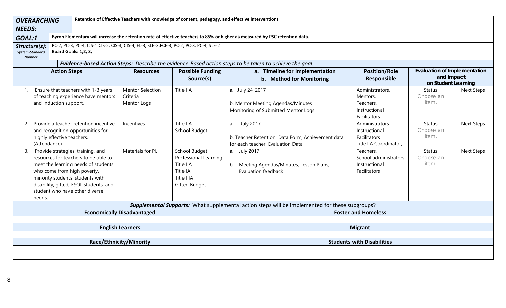| <b>OVERARCHING</b><br><b>NEEDS:</b>        |                                                                                                                                                                                                                                                                 | Retention of Effective Teachers with knowledge of content, pedagogy, and effective interventions |                                                                                                |                                                                                                                             |                                                                           |                                                                          |                   |  |  |  |  |
|--------------------------------------------|-----------------------------------------------------------------------------------------------------------------------------------------------------------------------------------------------------------------------------------------------------------------|--------------------------------------------------------------------------------------------------|------------------------------------------------------------------------------------------------|-----------------------------------------------------------------------------------------------------------------------------|---------------------------------------------------------------------------|--------------------------------------------------------------------------|-------------------|--|--|--|--|
| GOAL:1                                     |                                                                                                                                                                                                                                                                 |                                                                                                  |                                                                                                | Byron Elementary will increase the retention rate of effective teachers to 85% or higher as measured by PSC retention data. |                                                                           |                                                                          |                   |  |  |  |  |
| Structure(s):<br>System-Standard<br>Number | PC-2, PC-3, PC-4, CIS-1 CIS-2, CIS-3, CIS-4, EL-3, SLE-3, FCE-3, PC-2, PC-3, PC-4, SLE-2<br>Board Goals: 1,2, 3,                                                                                                                                                |                                                                                                  |                                                                                                |                                                                                                                             |                                                                           |                                                                          |                   |  |  |  |  |
|                                            |                                                                                                                                                                                                                                                                 |                                                                                                  |                                                                                                | Evidence-based Action Steps: Describe the evidence-Based action steps to be taken to achieve the goal.                      |                                                                           |                                                                          |                   |  |  |  |  |
|                                            | <b>Action Steps</b>                                                                                                                                                                                                                                             | <b>Resources</b>                                                                                 | <b>Possible Funding</b><br>Source(s)                                                           | a. Timeline for Implementation<br>b. Method for Monitoring                                                                  | <b>Position/Role</b><br><b>Responsible</b>                                | <b>Evaluation of Implementation</b><br>and Impact<br>on Student Learning |                   |  |  |  |  |
| 1.                                         | Ensure that teachers with 1-3 years<br>of teaching experience have mentors<br>and induction support.                                                                                                                                                            | <b>Mentor Selection</b><br>Criteria<br>Mentor Logs                                               | Title IIA                                                                                      | a. July 24, 2017<br>b. Mentor Meeting Agendas/Minutes<br>Monitoring of Submitted Mentor Logs                                | Administrators,<br>Mentors,<br>Teachers,<br>Instructional<br>Facilitators | <b>Status</b><br>Choose an<br>item.                                      | <b>Next Steps</b> |  |  |  |  |
| 2.<br>(Attendance)                         | Provide a teacher retention incentive<br>and recognition opportunities for<br>highly effective teachers.                                                                                                                                                        | Incentives                                                                                       | Title IIA<br>School Budget                                                                     | a. July 2017<br>b. Teacher Retention Data Form, Achievement data<br>for each teacher, Evaluation Data                       | Administrators<br>Instructional<br>Facilitators<br>Title IIA Coordinator, | <b>Status</b><br>Choose an<br>item.                                      | <b>Next Steps</b> |  |  |  |  |
| 3.<br>needs.                               | Provide strategies, training, and<br>resources for teachers to be able to<br>meet the learning needs of students<br>who come from high poverty,<br>minority students, students with<br>disability, gifted, ESOL students, and<br>student who have other diverse | Materials for PL                                                                                 | School Budget<br>Professional Learning<br>Title IIA<br>Title IA<br>Title IIIA<br>Gifted Budget | a. July 2017<br>b. Meeting Agendas/Minutes, Lesson Plans,<br><b>Evaluation feedback</b>                                     | Teachers,<br>School administrators<br>Instructional<br>Facilitators       | <b>Status</b><br>Choose an<br>item.                                      | <b>Next Steps</b> |  |  |  |  |
|                                            |                                                                                                                                                                                                                                                                 |                                                                                                  |                                                                                                | Supplemental Supports: What supplemental action steps will be implemented for these subgroups?                              |                                                                           |                                                                          |                   |  |  |  |  |
|                                            |                                                                                                                                                                                                                                                                 | <b>Economically Disadvantaged</b>                                                                |                                                                                                |                                                                                                                             | <b>Foster and Homeless</b>                                                |                                                                          |                   |  |  |  |  |
|                                            |                                                                                                                                                                                                                                                                 | <b>English Learners</b>                                                                          |                                                                                                |                                                                                                                             | <b>Migrant</b>                                                            |                                                                          |                   |  |  |  |  |
|                                            |                                                                                                                                                                                                                                                                 | Race/Ethnicity/Minority                                                                          |                                                                                                | <b>Students with Disabilities</b>                                                                                           |                                                                           |                                                                          |                   |  |  |  |  |
|                                            |                                                                                                                                                                                                                                                                 |                                                                                                  |                                                                                                |                                                                                                                             |                                                                           |                                                                          |                   |  |  |  |  |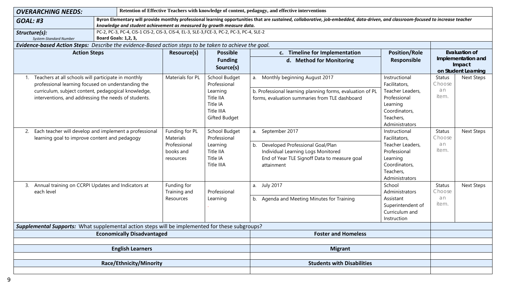| Retention of Effective Teachers with knowledge of content, pedagogy, and effective interventions<br><b>OVERARCHING NEEDS:</b>                                                                                                                                                   |                                                                       |                                                 |                                                                                                                                    |                                                                                                                                                                                   |                                                                                                                                                                  |                                                                         |                                        |  |  |
|---------------------------------------------------------------------------------------------------------------------------------------------------------------------------------------------------------------------------------------------------------------------------------|-----------------------------------------------------------------------|-------------------------------------------------|------------------------------------------------------------------------------------------------------------------------------------|-----------------------------------------------------------------------------------------------------------------------------------------------------------------------------------|------------------------------------------------------------------------------------------------------------------------------------------------------------------|-------------------------------------------------------------------------|----------------------------------------|--|--|
| <b>GOAL: #3</b>                                                                                                                                                                                                                                                                 | knowledge and student achievement as measured by growth measure data. |                                                 |                                                                                                                                    | Byron Elementary will provide monthly professional learning opportunities that are sustained, collaborative, job-embedded, data-driven, and classroom-focused to increase teacher |                                                                                                                                                                  |                                                                         |                                        |  |  |
| PC-2, PC-3, PC-4, CIS-1 CIS-2, CIS-3, CIS-4, EL-3, SLE-3, FCE-3, PC-2, PC-3, PC-4, SLE-2<br>Structure(s):<br>Board Goals: 1,2, 3,<br>System-Standard Number                                                                                                                     |                                                                       |                                                 |                                                                                                                                    |                                                                                                                                                                                   |                                                                                                                                                                  |                                                                         |                                        |  |  |
| Evidence-based Action Steps: Describe the evidence-Based action steps to be taken to achieve the goal.                                                                                                                                                                          |                                                                       |                                                 |                                                                                                                                    |                                                                                                                                                                                   |                                                                                                                                                                  |                                                                         |                                        |  |  |
| <b>Action Steps</b>                                                                                                                                                                                                                                                             |                                                                       | <b>Resource(s)</b>                              | <b>Possible</b>                                                                                                                    | c. Timeline for Implementation                                                                                                                                                    | <b>Position/Role</b>                                                                                                                                             | <b>Evaluation of</b>                                                    |                                        |  |  |
|                                                                                                                                                                                                                                                                                 |                                                                       |                                                 | <b>Funding</b><br>Source(s)                                                                                                        | d. Method for Monitoring                                                                                                                                                          | Responsible                                                                                                                                                      | Implementation and<br>Impact<br>on Student Learning                     |                                        |  |  |
| Teachers at all schools will participate in monthly<br>professional learning focused on understanding the<br>curriculum, subject content, pedagogical knowledge,<br>interventions, and addressing the needs of students.<br>2.<br>learning goal to improve content and pedagogy | Each teacher will develop and implement a professional                | Materials for PL<br>Funding for PL<br>Materials | School Budget<br>Professional<br>Learning<br>Title IIA<br>Title IA<br>Title IIIA<br>Gifted Budget<br>School Budget<br>Professional | a. Monthly beginning August 2017<br>b. Professional learning planning forms, evaluation of PL<br>forms, evaluation summaries from TLE dashboard<br>September 2017<br>a.           | Instructional<br>Facilitators,<br>Teacher Leaders,<br>Professional<br>Learning<br>Coordinators,<br>Teachers,<br>Administrators<br>Instructional<br>Facilitators, | <b>Status</b><br>Choose<br>an<br>item.<br><b>Status</b><br>Choose<br>an | <b>Next Steps</b><br><b>Next Steps</b> |  |  |
|                                                                                                                                                                                                                                                                                 |                                                                       | Professional<br>books and<br>resources          | Learning<br>Title IIA<br>Title IA<br><b>Title IIIA</b>                                                                             | Developed Professional Goal/Plan<br>b.<br>Individual Learning Logs Monitored<br>End of Year TLE Signoff Data to measure goal<br>attainment                                        | Teacher Leaders,<br>Professional<br>Learning<br>Coordinators,<br>Teachers,<br>Administrators                                                                     | item.                                                                   |                                        |  |  |
| 3. Annual training on CCRPI Updates and Indicators at<br>each level                                                                                                                                                                                                             |                                                                       | Funding for<br>Training and<br>Resources        | Professional<br>Learning                                                                                                           | a. July 2017<br>b. Agenda and Meeting Minutes for Training                                                                                                                        | School<br>Administrators<br>Assistant<br>Superintendent of<br>Curriculum and<br>Instruction                                                                      | <b>Status</b><br>Choose<br>an<br>item.                                  | <b>Next Steps</b>                      |  |  |
| Supplemental Supports: What supplemental action steps will be implemented for these subgroups?                                                                                                                                                                                  |                                                                       |                                                 |                                                                                                                                    |                                                                                                                                                                                   |                                                                                                                                                                  |                                                                         |                                        |  |  |
|                                                                                                                                                                                                                                                                                 | <b>Economically Disadvantaged</b>                                     |                                                 |                                                                                                                                    | <b>Foster and Homeless</b>                                                                                                                                                        |                                                                                                                                                                  |                                                                         |                                        |  |  |
|                                                                                                                                                                                                                                                                                 |                                                                       |                                                 |                                                                                                                                    |                                                                                                                                                                                   |                                                                                                                                                                  |                                                                         |                                        |  |  |
|                                                                                                                                                                                                                                                                                 | <b>English Learners</b>                                               |                                                 |                                                                                                                                    | <b>Migrant</b>                                                                                                                                                                    |                                                                                                                                                                  |                                                                         |                                        |  |  |
|                                                                                                                                                                                                                                                                                 |                                                                       |                                                 |                                                                                                                                    |                                                                                                                                                                                   |                                                                                                                                                                  |                                                                         |                                        |  |  |
|                                                                                                                                                                                                                                                                                 | Race/Ethnicity/Minority                                               |                                                 |                                                                                                                                    | <b>Students with Disabilities</b>                                                                                                                                                 |                                                                                                                                                                  |                                                                         |                                        |  |  |
|                                                                                                                                                                                                                                                                                 |                                                                       |                                                 |                                                                                                                                    |                                                                                                                                                                                   |                                                                                                                                                                  |                                                                         |                                        |  |  |